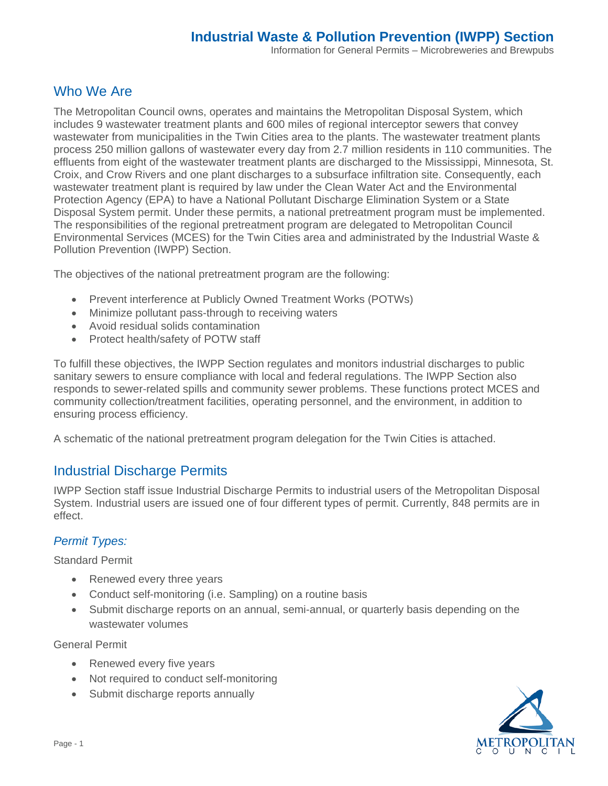# Who We Are

The Metropolitan Council owns, operates and maintains the Metropolitan Disposal System, which includes 9 wastewater treatment plants and 600 miles of regional interceptor sewers that convey wastewater from municipalities in the Twin Cities area to the plants. The wastewater treatment plants process 250 million gallons of wastewater every day from 2.7 million residents in 110 communities. The effluents from eight of the wastewater treatment plants are discharged to the Mississippi, Minnesota, St. Croix, and Crow Rivers and one plant discharges to a subsurface infiltration site. Consequently, each wastewater treatment plant is required by law under the Clean Water Act and the Environmental Protection Agency (EPA) to have a National Pollutant Discharge Elimination System or a State Disposal System permit. Under these permits, a national pretreatment program must be implemented. The responsibilities of the regional pretreatment program are delegated to Metropolitan Council Environmental Services (MCES) for the Twin Cities area and administrated by the Industrial Waste & Pollution Prevention (IWPP) Section.

The objectives of the national pretreatment program are the following:

- Prevent interference at Publicly Owned Treatment Works (POTWs)
- Minimize pollutant pass-through to receiving waters
- Avoid residual solids contamination
- Protect health/safety of POTW staff

To fulfill these objectives, the IWPP Section regulates and monitors industrial discharges to public sanitary sewers to ensure compliance with local and federal regulations. The IWPP Section also responds to sewer-related spills and community sewer problems. These functions protect MCES and community collection/treatment facilities, operating personnel, and the environment, in addition to ensuring process efficiency.

A schematic of the national pretreatment program delegation for the Twin Cities is attached.

## Industrial Discharge Permits

IWPP Section staff issue Industrial Discharge Permits to industrial users of the Metropolitan Disposal System. Industrial users are issued one of four different types of permit. Currently, 848 permits are in effect.

#### *Permit Types:*

Standard Permit

- Renewed every three years
- Conduct self-monitoring (i.e. Sampling) on a routine basis
- Submit discharge reports on an annual, semi-annual, or quarterly basis depending on the wastewater volumes

General Permit

- Renewed every five years
- Not required to conduct self-monitoring
- Submit discharge reports annually

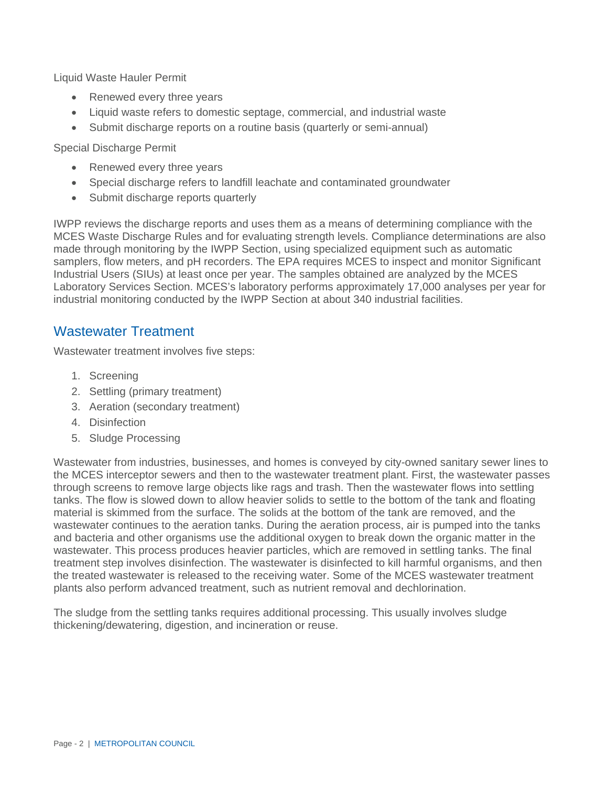Liquid Waste Hauler Permit

- Renewed every three years
- Liquid waste refers to domestic septage, commercial, and industrial waste
- Submit discharge reports on a routine basis (quarterly or semi-annual)

Special Discharge Permit

- Renewed every three years
- Special discharge refers to landfill leachate and contaminated groundwater
- Submit discharge reports quarterly

IWPP reviews the discharge reports and uses them as a means of determining compliance with the MCES Waste Discharge Rules and for evaluating strength levels. Compliance determinations are also made through monitoring by the IWPP Section, using specialized equipment such as automatic samplers, flow meters, and pH recorders. The EPA requires MCES to inspect and monitor Significant Industrial Users (SIUs) at least once per year. The samples obtained are analyzed by the MCES Laboratory Services Section. MCES's laboratory performs approximately 17,000 analyses per year for industrial monitoring conducted by the IWPP Section at about 340 industrial facilities.

### Wastewater Treatment

Wastewater treatment involves five steps:

- 1. Screening
- 2. Settling (primary treatment)
- 3. Aeration (secondary treatment)
- 4. Disinfection
- 5. Sludge Processing

Wastewater from industries, businesses, and homes is conveyed by city-owned sanitary sewer lines to the MCES interceptor sewers and then to the wastewater treatment plant. First, the wastewater passes through screens to remove large objects like rags and trash. Then the wastewater flows into settling tanks. The flow is slowed down to allow heavier solids to settle to the bottom of the tank and floating material is skimmed from the surface. The solids at the bottom of the tank are removed, and the wastewater continues to the aeration tanks. During the aeration process, air is pumped into the tanks and bacteria and other organisms use the additional oxygen to break down the organic matter in the wastewater. This process produces heavier particles, which are removed in settling tanks. The final treatment step involves disinfection. The wastewater is disinfected to kill harmful organisms, and then the treated wastewater is released to the receiving water. Some of the MCES wastewater treatment plants also perform advanced treatment, such as nutrient removal and dechlorination.

The sludge from the settling tanks requires additional processing. This usually involves sludge thickening/dewatering, digestion, and incineration or reuse.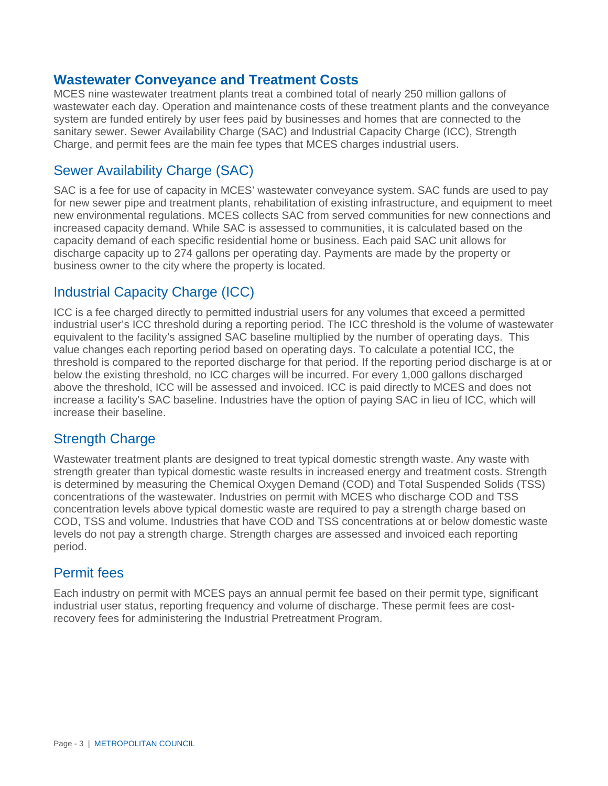#### **Wastewater Conveyance and Treatment Costs**

MCES nine wastewater treatment plants treat a combined total of nearly 250 million gallons of wastewater each day. Operation and maintenance costs of these treatment plants and the conveyance system are funded entirely by user fees paid by businesses and homes that are connected to the sanitary sewer. Sewer Availability Charge (SAC) and Industrial Capacity Charge (ICC), Strength Charge, and permit fees are the main fee types that MCES charges industrial users.

## Sewer Availability Charge (SAC)

SAC is a fee for use of capacity in MCES' wastewater conveyance system. SAC funds are used to pay for new sewer pipe and treatment plants, rehabilitation of existing infrastructure, and equipment to meet new environmental regulations. MCES collects SAC from served communities for new connections and increased capacity demand. While SAC is assessed to communities, it is calculated based on the capacity demand of each specific residential home or business. Each paid SAC unit allows for discharge capacity up to 274 gallons per operating day. Payments are made by the property or business owner to the city where the property is located.

### Industrial Capacity Charge (ICC)

ICC is a fee charged directly to permitted industrial users for any volumes that exceed a permitted industrial user's ICC threshold during a reporting period. The ICC threshold is the volume of wastewater equivalent to the facility's assigned SAC baseline multiplied by the number of operating days. This value changes each reporting period based on operating days. To calculate a potential ICC, the threshold is compared to the reported discharge for that period. If the reporting period discharge is at or below the existing threshold, no ICC charges will be incurred. For every 1,000 gallons discharged above the threshold, ICC will be assessed and invoiced. ICC is paid directly to MCES and does not increase a facility's SAC baseline. Industries have the option of paying SAC in lieu of ICC, which will increase their baseline.

## Strength Charge

Wastewater treatment plants are designed to treat typical domestic strength waste. Any waste with strength greater than typical domestic waste results in increased energy and treatment costs. Strength is determined by measuring the Chemical Oxygen Demand (COD) and Total Suspended Solids (TSS) concentrations of the wastewater. Industries on permit with MCES who discharge COD and TSS concentration levels above typical domestic waste are required to pay a strength charge based on COD, TSS and volume. Industries that have COD and TSS concentrations at or below domestic waste levels do not pay a strength charge. Strength charges are assessed and invoiced each reporting period.

### Permit fees

Each industry on permit with MCES pays an annual permit fee based on their permit type, significant industrial user status, reporting frequency and volume of discharge. These permit fees are costrecovery fees for administering the Industrial Pretreatment Program.